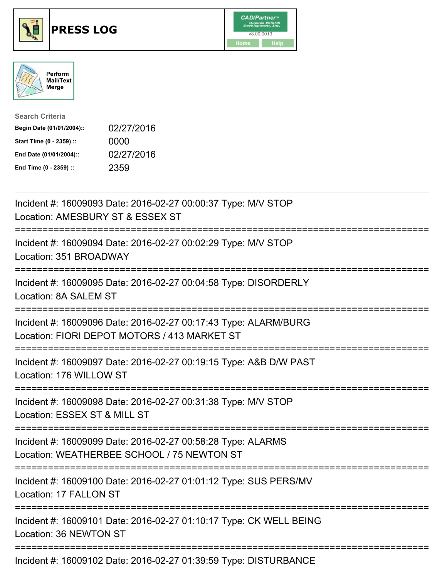





| <b>Search Criteria</b>    |            |
|---------------------------|------------|
| Begin Date (01/01/2004):: | 02/27/2016 |
| Start Time (0 - 2359) ::  | 0000       |
| End Date (01/01/2004)::   | 02/27/2016 |
| End Time (0 - 2359) ::    | 2359       |

| Incident #: 16009093 Date: 2016-02-27 00:00:37 Type: M/V STOP<br>Location: AMESBURY ST & ESSEX ST                                 |
|-----------------------------------------------------------------------------------------------------------------------------------|
| Incident #: 16009094 Date: 2016-02-27 00:02:29 Type: M/V STOP<br>Location: 351 BROADWAY<br>===========                            |
| Incident #: 16009095 Date: 2016-02-27 00:04:58 Type: DISORDERLY<br>Location: 8A SALEM ST<br>--------------                        |
| Incident #: 16009096 Date: 2016-02-27 00:17:43 Type: ALARM/BURG<br>Location: FIORI DEPOT MOTORS / 413 MARKET ST                   |
| Incident #: 16009097 Date: 2016-02-27 00:19:15 Type: A&B D/W PAST<br>Location: 176 WILLOW ST<br>=================                 |
| Incident #: 16009098 Date: 2016-02-27 00:31:38 Type: M/V STOP<br>Location: ESSEX ST & MILL ST<br>---------------                  |
| Incident #: 16009099 Date: 2016-02-27 00:58:28 Type: ALARMS<br>Location: WEATHERBEE SCHOOL / 75 NEWTON ST                         |
| ===================================<br>Incident #: 16009100 Date: 2016-02-27 01:01:12 Type: SUS PERS/MV<br>Location: 17 FALLON ST |
| Incident #: 16009101 Date: 2016-02-27 01:10:17 Type: CK WELL BEING<br>Location: 36 NEWTON ST                                      |
| Incident #: 16009102 Date: 2016-02-27 01:39:59 Type: DISTURBANCE                                                                  |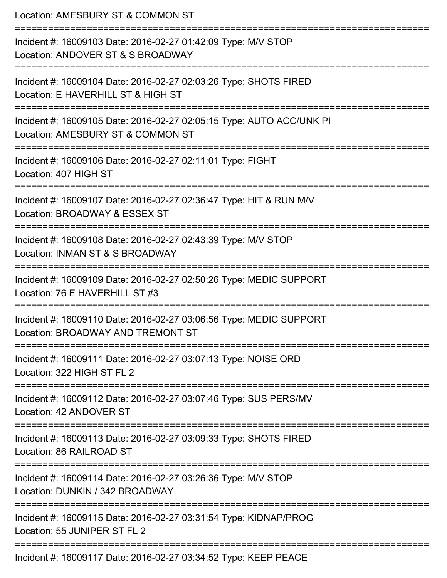| Location: AMESBURY ST & COMMON ST<br>==========================                                                                         |
|-----------------------------------------------------------------------------------------------------------------------------------------|
| Incident #: 16009103 Date: 2016-02-27 01:42:09 Type: M/V STOP<br>Location: ANDOVER ST & S BROADWAY                                      |
| Incident #: 16009104 Date: 2016-02-27 02:03:26 Type: SHOTS FIRED<br>Location: E HAVERHILL ST & HIGH ST<br>============================  |
| Incident #: 16009105 Date: 2016-02-27 02:05:15 Type: AUTO ACC/UNK PI<br>Location: AMESBURY ST & COMMON ST<br>:========================= |
| Incident #: 16009106 Date: 2016-02-27 02:11:01 Type: FIGHT<br>Location: 407 HIGH ST                                                     |
| Incident #: 16009107 Date: 2016-02-27 02:36:47 Type: HIT & RUN M/V<br>Location: BROADWAY & ESSEX ST                                     |
| :========================<br>Incident #: 16009108 Date: 2016-02-27 02:43:39 Type: M/V STOP<br>Location: INMAN ST & S BROADWAY           |
| Incident #: 16009109 Date: 2016-02-27 02:50:26 Type: MEDIC SUPPORT<br>Location: 76 E HAVERHILL ST #3                                    |
| Incident #: 16009110 Date: 2016-02-27 03:06:56 Type: MEDIC SUPPORT<br>Location: BROADWAY AND TREMONT ST                                 |
| Incident #: 16009111 Date: 2016-02-27 03:07:13 Type: NOISE ORD<br>Location: 322 HIGH ST FL 2                                            |
| Incident #: 16009112 Date: 2016-02-27 03:07:46 Type: SUS PERS/MV<br>Location: 42 ANDOVER ST                                             |
| Incident #: 16009113 Date: 2016-02-27 03:09:33 Type: SHOTS FIRED<br>Location: 86 RAILROAD ST                                            |
| Incident #: 16009114 Date: 2016-02-27 03:26:36 Type: M/V STOP<br>Location: DUNKIN / 342 BROADWAY                                        |
| Incident #: 16009115 Date: 2016-02-27 03:31:54 Type: KIDNAP/PROG<br>Location: 55 JUNIPER ST FL 2                                        |
| Incident #: 16009117 Date: 2016-02-27 03:34:52 Type: KEEP PEACE                                                                         |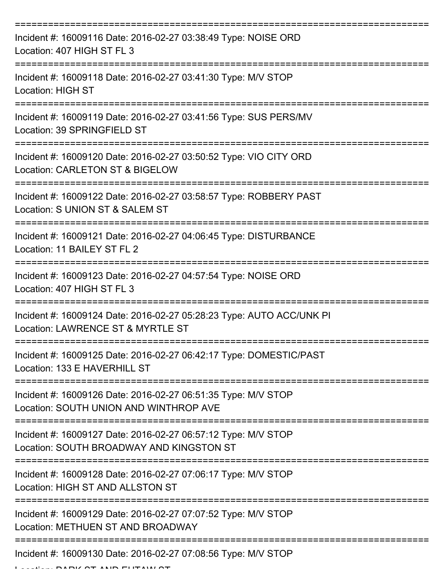| Incident #: 16009116 Date: 2016-02-27 03:38:49 Type: NOISE ORD<br>Location: 407 HIGH ST FL 3              |
|-----------------------------------------------------------------------------------------------------------|
| Incident #: 16009118 Date: 2016-02-27 03:41:30 Type: M/V STOP<br><b>Location: HIGH ST</b>                 |
| Incident #: 16009119 Date: 2016-02-27 03:41:56 Type: SUS PERS/MV<br>Location: 39 SPRINGFIELD ST           |
| Incident #: 16009120 Date: 2016-02-27 03:50:52 Type: VIO CITY ORD<br>Location: CARLETON ST & BIGELOW      |
| Incident #: 16009122 Date: 2016-02-27 03:58:57 Type: ROBBERY PAST<br>Location: S UNION ST & SALEM ST      |
| Incident #: 16009121 Date: 2016-02-27 04:06:45 Type: DISTURBANCE<br>Location: 11 BAILEY ST FL 2           |
| Incident #: 16009123 Date: 2016-02-27 04:57:54 Type: NOISE ORD<br>Location: 407 HIGH ST FL 3              |
| Incident #: 16009124 Date: 2016-02-27 05:28:23 Type: AUTO ACC/UNK PI<br>Location: LAWRENCE ST & MYRTLE ST |
| Incident #: 16009125 Date: 2016-02-27 06:42:17 Type: DOMESTIC/PAST<br>Location: 133 E HAVERHILL ST        |
| Incident #: 16009126 Date: 2016-02-27 06:51:35 Type: M/V STOP<br>Location: SOUTH UNION AND WINTHROP AVE   |
| Incident #: 16009127 Date: 2016-02-27 06:57:12 Type: M/V STOP<br>Location: SOUTH BROADWAY AND KINGSTON ST |
| Incident #: 16009128 Date: 2016-02-27 07:06:17 Type: M/V STOP<br>Location: HIGH ST AND ALLSTON ST         |
| Incident #: 16009129 Date: 2016-02-27 07:07:52 Type: M/V STOP<br>Location: METHUEN ST AND BROADWAY        |
| Incident #: 16009130 Date: 2016-02-27 07:08:56 Type: M/V STOP                                             |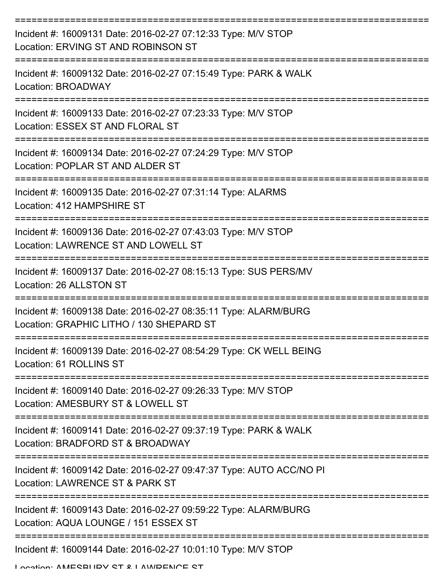| Incident #: 16009131 Date: 2016-02-27 07:12:33 Type: M/V STOP<br>Location: ERVING ST AND ROBINSON ST                       |
|----------------------------------------------------------------------------------------------------------------------------|
| Incident #: 16009132 Date: 2016-02-27 07:15:49 Type: PARK & WALK<br>Location: BROADWAY                                     |
| Incident #: 16009133 Date: 2016-02-27 07:23:33 Type: M/V STOP<br>Location: ESSEX ST AND FLORAL ST                          |
| Incident #: 16009134 Date: 2016-02-27 07:24:29 Type: M/V STOP<br>Location: POPLAR ST AND ALDER ST                          |
| Incident #: 16009135 Date: 2016-02-27 07:31:14 Type: ALARMS<br>Location: 412 HAMPSHIRE ST                                  |
| Incident #: 16009136 Date: 2016-02-27 07:43:03 Type: M/V STOP<br>Location: LAWRENCE ST AND LOWELL ST                       |
| Incident #: 16009137 Date: 2016-02-27 08:15:13 Type: SUS PERS/MV<br>Location: 26 ALLSTON ST                                |
| ===========<br>Incident #: 16009138 Date: 2016-02-27 08:35:11 Type: ALARM/BURG<br>Location: GRAPHIC LITHO / 130 SHEPARD ST |
| Incident #: 16009139 Date: 2016-02-27 08:54:29 Type: CK WELL BEING<br>Location: 61 ROLLINS ST                              |
| Incident #: 16009140 Date: 2016-02-27 09:26:33 Type: M/V STOP<br>Location: AMESBURY ST & LOWELL ST                         |
| Incident #: 16009141 Date: 2016-02-27 09:37:19 Type: PARK & WALK<br>Location: BRADFORD ST & BROADWAY                       |
| Incident #: 16009142 Date: 2016-02-27 09:47:37 Type: AUTO ACC/NO PI<br>Location: LAWRENCE ST & PARK ST                     |
| Incident #: 16009143 Date: 2016-02-27 09:59:22 Type: ALARM/BURG<br>Location: AQUA LOUNGE / 151 ESSEX ST                    |
| Incident #: 16009144 Date: 2016-02-27 10:01:10 Type: M/V STOP                                                              |

Location: AMESBURY ST & LAWRENCE ST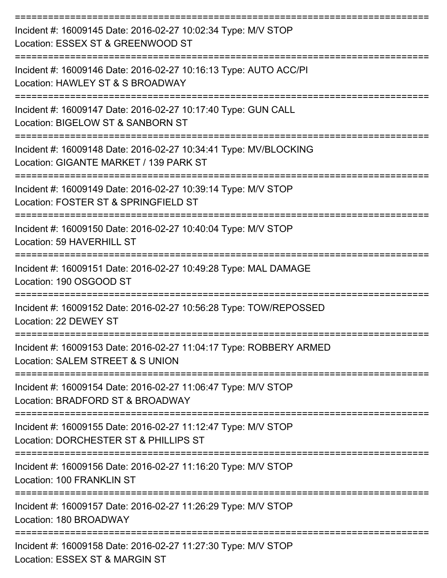| Incident #: 16009145 Date: 2016-02-27 10:02:34 Type: M/V STOP<br>Location: ESSEX ST & GREENWOOD ST         |
|------------------------------------------------------------------------------------------------------------|
| Incident #: 16009146 Date: 2016-02-27 10:16:13 Type: AUTO ACC/PI<br>Location: HAWLEY ST & S BROADWAY       |
| Incident #: 16009147 Date: 2016-02-27 10:17:40 Type: GUN CALL<br>Location: BIGELOW ST & SANBORN ST         |
| Incident #: 16009148 Date: 2016-02-27 10:34:41 Type: MV/BLOCKING<br>Location: GIGANTE MARKET / 139 PARK ST |
| Incident #: 16009149 Date: 2016-02-27 10:39:14 Type: M/V STOP<br>Location: FOSTER ST & SPRINGFIELD ST      |
| Incident #: 16009150 Date: 2016-02-27 10:40:04 Type: M/V STOP<br>Location: 59 HAVERHILL ST                 |
| Incident #: 16009151 Date: 2016-02-27 10:49:28 Type: MAL DAMAGE<br>Location: 190 OSGOOD ST                 |
| Incident #: 16009152 Date: 2016-02-27 10:56:28 Type: TOW/REPOSSED<br>Location: 22 DEWEY ST                 |
| Incident #: 16009153 Date: 2016-02-27 11:04:17 Type: ROBBERY ARMED<br>Location: SALEM STREET & S UNION     |
| Incident #: 16009154 Date: 2016-02-27 11:06:47 Type: M/V STOP<br>Location: BRADFORD ST & BROADWAY          |
| Incident #: 16009155 Date: 2016-02-27 11:12:47 Type: M/V STOP<br>Location: DORCHESTER ST & PHILLIPS ST     |
| Incident #: 16009156 Date: 2016-02-27 11:16:20 Type: M/V STOP<br>Location: 100 FRANKLIN ST                 |
| Incident #: 16009157 Date: 2016-02-27 11:26:29 Type: M/V STOP<br>Location: 180 BROADWAY                    |
| Incident #: 16009158 Date: 2016-02-27 11:27:30 Type: M/V STOP<br>Location: ESSEX ST & MARGIN ST            |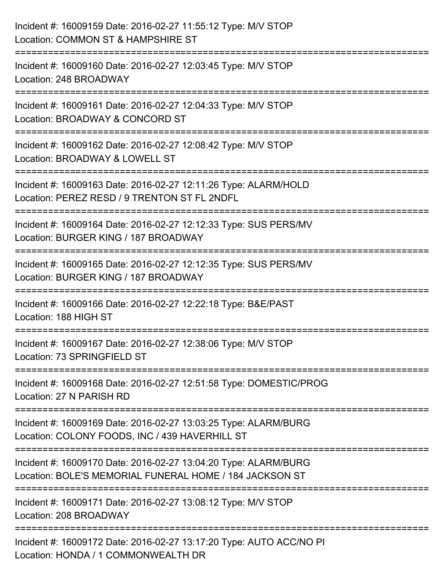| Incident #: 16009159 Date: 2016-02-27 11:55:12 Type: M/V STOP<br>Location: COMMON ST & HAMPSHIRE ST                             |
|---------------------------------------------------------------------------------------------------------------------------------|
| ----------------------<br>Incident #: 16009160 Date: 2016-02-27 12:03:45 Type: M/V STOP<br>Location: 248 BROADWAY               |
| Incident #: 16009161 Date: 2016-02-27 12:04:33 Type: M/V STOP<br>Location: BROADWAY & CONCORD ST                                |
| ============================<br>Incident #: 16009162 Date: 2016-02-27 12:08:42 Type: M/V STOP<br>Location: BROADWAY & LOWELL ST |
| Incident #: 16009163 Date: 2016-02-27 12:11:26 Type: ALARM/HOLD<br>Location: PEREZ RESD / 9 TRENTON ST FL 2NDFL                 |
| Incident #: 16009164 Date: 2016-02-27 12:12:33 Type: SUS PERS/MV<br>Location: BURGER KING / 187 BROADWAY                        |
| Incident #: 16009165 Date: 2016-02-27 12:12:35 Type: SUS PERS/MV<br>Location: BURGER KING / 187 BROADWAY                        |
| Incident #: 16009166 Date: 2016-02-27 12:22:18 Type: B&E/PAST<br>Location: 188 HIGH ST                                          |
| Incident #: 16009167 Date: 2016-02-27 12:38:06 Type: M/V STOP<br>Location: 73 SPRINGFIELD ST                                    |
| Incident #: 16009168 Date: 2016-02-27 12:51:58 Type: DOMESTIC/PROG<br>Location: 27 N PARISH RD                                  |
| Incident #: 16009169 Date: 2016-02-27 13:03:25 Type: ALARM/BURG<br>Location: COLONY FOODS, INC / 439 HAVERHILL ST               |
| Incident #: 16009170 Date: 2016-02-27 13:04:20 Type: ALARM/BURG<br>Location: BOLE'S MEMORIAL FUNERAL HOME / 184 JACKSON ST      |
| Incident #: 16009171 Date: 2016-02-27 13:08:12 Type: M/V STOP<br>Location: 208 BROADWAY                                         |
| Incident #: 16009172 Date: 2016-02-27 13:17:20 Type: AUTO ACC/NO PI<br>Location: HONDA / 1 COMMONWEALTH DR                      |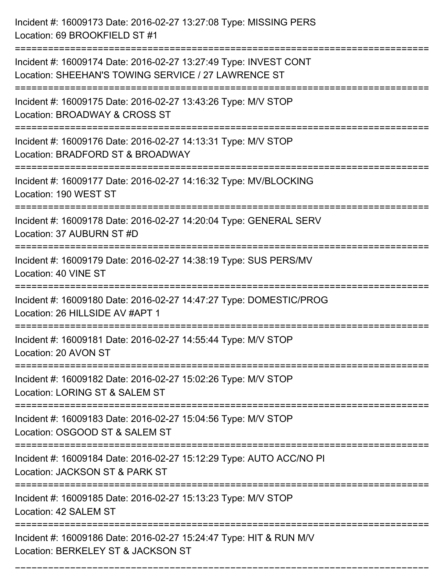| Incident #: 16009173 Date: 2016-02-27 13:27:08 Type: MISSING PERS<br>Location: 69 BROOKFIELD ST #1                                |
|-----------------------------------------------------------------------------------------------------------------------------------|
| Incident #: 16009174 Date: 2016-02-27 13:27:49 Type: INVEST CONT<br>Location: SHEEHAN'S TOWING SERVICE / 27 LAWRENCE ST           |
| Incident #: 16009175 Date: 2016-02-27 13:43:26 Type: M/V STOP<br>Location: BROADWAY & CROSS ST<br>:============================== |
| Incident #: 16009176 Date: 2016-02-27 14:13:31 Type: M/V STOP<br>Location: BRADFORD ST & BROADWAY                                 |
| Incident #: 16009177 Date: 2016-02-27 14:16:32 Type: MV/BLOCKING<br>Location: 190 WEST ST                                         |
| Incident #: 16009178 Date: 2016-02-27 14:20:04 Type: GENERAL SERV<br>Location: 37 AUBURN ST #D                                    |
| Incident #: 16009179 Date: 2016-02-27 14:38:19 Type: SUS PERS/MV<br>Location: 40 VINE ST                                          |
| Incident #: 16009180 Date: 2016-02-27 14:47:27 Type: DOMESTIC/PROG<br>Location: 26 HILLSIDE AV #APT 1                             |
| Incident #: 16009181 Date: 2016-02-27 14:55:44 Type: M/V STOP<br>Location: 20 AVON ST                                             |
| Incident #: 16009182 Date: 2016-02-27 15:02:26 Type: M/V STOP<br>Location: LORING ST & SALEM ST                                   |
| Incident #: 16009183 Date: 2016-02-27 15:04:56 Type: M/V STOP<br>Location: OSGOOD ST & SALEM ST                                   |
| Incident #: 16009184 Date: 2016-02-27 15:12:29 Type: AUTO ACC/NO PI<br>Location: JACKSON ST & PARK ST                             |
| Incident #: 16009185 Date: 2016-02-27 15:13:23 Type: M/V STOP<br>Location: 42 SALEM ST                                            |
| Incident #: 16009186 Date: 2016-02-27 15:24:47 Type: HIT & RUN M/V<br>Location: BERKELEY ST & JACKSON ST                          |

===========================================================================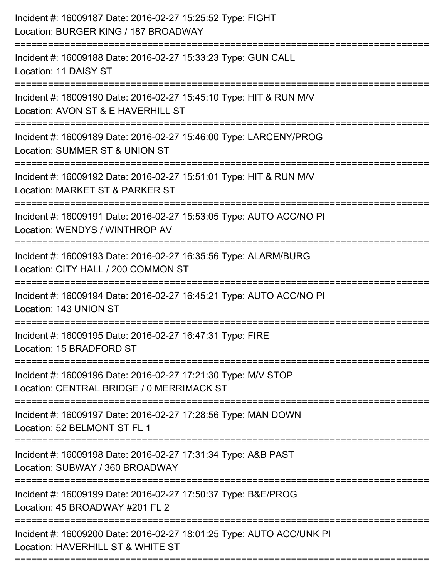| Incident #: 16009187 Date: 2016-02-27 15:25:52 Type: FIGHT<br>Location: BURGER KING / 187 BROADWAY<br>========================    |
|-----------------------------------------------------------------------------------------------------------------------------------|
| Incident #: 16009188 Date: 2016-02-27 15:33:23 Type: GUN CALL<br>Location: 11 DAISY ST                                            |
| Incident #: 16009190 Date: 2016-02-27 15:45:10 Type: HIT & RUN M/V<br>Location: AVON ST & E HAVERHILL ST<br>===================== |
| Incident #: 16009189 Date: 2016-02-27 15:46:00 Type: LARCENY/PROG<br>Location: SUMMER ST & UNION ST<br>.------------------------- |
| Incident #: 16009192 Date: 2016-02-27 15:51:01 Type: HIT & RUN M/V<br>Location: MARKET ST & PARKER ST                             |
| Incident #: 16009191 Date: 2016-02-27 15:53:05 Type: AUTO ACC/NO PI<br>Location: WENDYS / WINTHROP AV                             |
| Incident #: 16009193 Date: 2016-02-27 16:35:56 Type: ALARM/BURG<br>Location: CITY HALL / 200 COMMON ST                            |
| Incident #: 16009194 Date: 2016-02-27 16:45:21 Type: AUTO ACC/NO PI<br>Location: 143 UNION ST                                     |
| Incident #: 16009195 Date: 2016-02-27 16:47:31 Type: FIRE<br>Location: 15 BRADFORD ST                                             |
| Incident #: 16009196 Date: 2016-02-27 17:21:30 Type: M/V STOP<br>Location: CENTRAL BRIDGE / 0 MERRIMACK ST                        |
| Incident #: 16009197 Date: 2016-02-27 17:28:56 Type: MAN DOWN<br>Location: 52 BELMONT ST FL 1                                     |
| Incident #: 16009198 Date: 2016-02-27 17:31:34 Type: A&B PAST<br>Location: SUBWAY / 360 BROADWAY                                  |
| Incident #: 16009199 Date: 2016-02-27 17:50:37 Type: B&E/PROG<br>Location: 45 BROADWAY #201 FL 2                                  |
| Incident #: 16009200 Date: 2016-02-27 18:01:25 Type: AUTO ACC/UNK PI<br>Location: HAVERHILL ST & WHITE ST                         |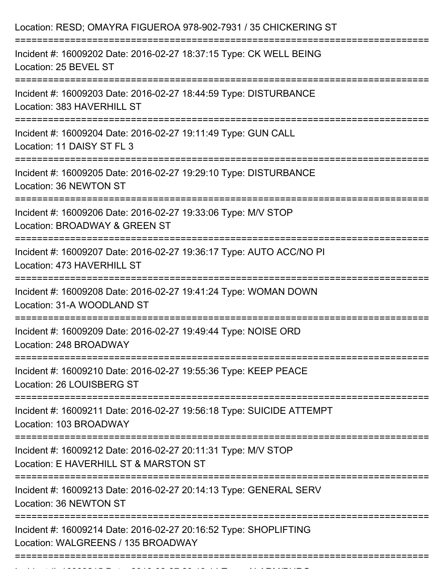| Location: RESD; OMAYRA FIGUEROA 978-902-7931 / 35 CHICKERING ST                                                                                              |
|--------------------------------------------------------------------------------------------------------------------------------------------------------------|
| Incident #: 16009202 Date: 2016-02-27 18:37:15 Type: CK WELL BEING<br>Location: 25 BEVEL ST                                                                  |
| Incident #: 16009203 Date: 2016-02-27 18:44:59 Type: DISTURBANCE<br>Location: 383 HAVERHILL ST                                                               |
| Incident #: 16009204 Date: 2016-02-27 19:11:49 Type: GUN CALL<br>Location: 11 DAISY ST FL 3<br>:================================<br>------------------------ |
| Incident #: 16009205 Date: 2016-02-27 19:29:10 Type: DISTURBANCE<br>Location: 36 NEWTON ST                                                                   |
| Incident #: 16009206 Date: 2016-02-27 19:33:06 Type: M/V STOP<br>Location: BROADWAY & GREEN ST                                                               |
| Incident #: 16009207 Date: 2016-02-27 19:36:17 Type: AUTO ACC/NO PI<br>Location: 473 HAVERHILL ST                                                            |
| Incident #: 16009208 Date: 2016-02-27 19:41:24 Type: WOMAN DOWN<br>Location: 31-A WOODLAND ST                                                                |
| Incident #: 16009209 Date: 2016-02-27 19:49:44 Type: NOISE ORD<br>Location: 248 BROADWAY                                                                     |
| Incident #: 16009210 Date: 2016-02-27 19:55:36 Type: KEEP PEACE<br>Location: 26 LOUISBERG ST                                                                 |
| Incident #: 16009211 Date: 2016-02-27 19:56:18 Type: SUICIDE ATTEMPT<br>Location: 103 BROADWAY                                                               |
| Incident #: 16009212 Date: 2016-02-27 20:11:31 Type: M/V STOP<br>Location: E HAVERHILL ST & MARSTON ST                                                       |
| Incident #: 16009213 Date: 2016-02-27 20:14:13 Type: GENERAL SERV<br>Location: 36 NEWTON ST                                                                  |
| Incident #: 16009214 Date: 2016-02-27 20:16:52 Type: SHOPLIFTING<br>Location: WALGREENS / 135 BROADWAY                                                       |
|                                                                                                                                                              |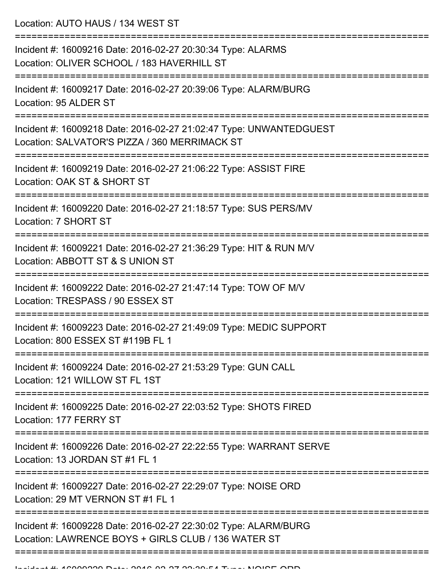Location: AUTO HAUS / 134 WEST ST

| Incident #: 16009216 Date: 2016-02-27 20:30:34 Type: ALARMS<br>Location: OLIVER SCHOOL / 183 HAVERHILL ST                           |
|-------------------------------------------------------------------------------------------------------------------------------------|
| Incident #: 16009217 Date: 2016-02-27 20:39:06 Type: ALARM/BURG<br>Location: 95 ALDER ST                                            |
| Incident #: 16009218 Date: 2016-02-27 21:02:47 Type: UNWANTEDGUEST<br>Location: SALVATOR'S PIZZA / 360 MERRIMACK ST                 |
| Incident #: 16009219 Date: 2016-02-27 21:06:22 Type: ASSIST FIRE<br>Location: OAK ST & SHORT ST                                     |
| Incident #: 16009220 Date: 2016-02-27 21:18:57 Type: SUS PERS/MV<br>Location: 7 SHORT ST                                            |
| Incident #: 16009221 Date: 2016-02-27 21:36:29 Type: HIT & RUN M/V<br>Location: ABBOTT ST & S UNION ST                              |
| Incident #: 16009222 Date: 2016-02-27 21:47:14 Type: TOW OF M/V<br>Location: TRESPASS / 90 ESSEX ST                                 |
| Incident #: 16009223 Date: 2016-02-27 21:49:09 Type: MEDIC SUPPORT<br>Location: 800 ESSEX ST #119B FL 1                             |
| Incident #: 16009224 Date: 2016-02-27 21:53:29 Type: GUN CALL<br>Location: 121 WILLOW ST FL 1ST                                     |
| Incident #: 16009225 Date: 2016-02-27 22:03:52 Type: SHOTS FIRED<br>Location: 177 FERRY ST                                          |
| Incident #: 16009226 Date: 2016-02-27 22:22:55 Type: WARRANT SERVE<br>Location: 13 JORDAN ST #1 FL 1                                |
| ----------------------------<br>Incident #: 16009227 Date: 2016-02-27 22:29:07 Type: NOISE ORD<br>Location: 29 MT VERNON ST #1 FL 1 |
| Incident #: 16009228 Date: 2016-02-27 22:30:02 Type: ALARM/BURG<br>Location: LAWRENCE BOYS + GIRLS CLUB / 136 WATER ST              |
|                                                                                                                                     |